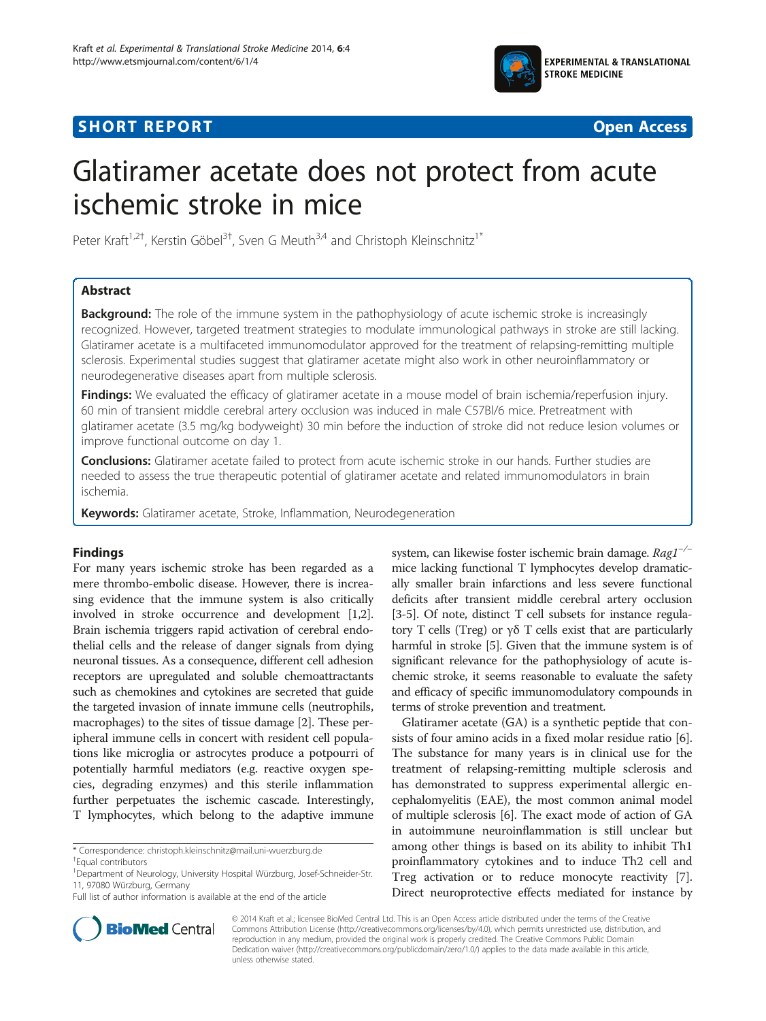

# **SHORT REPORT SHORT CONSUMING THE CONSUMING THE CONSUMING THE CONSUMING THE CONSUMING THE CONSUMING THE CONSUMING THE CONSUMING THE CONSUMING THE CONSUMING THE CONSUMING THE CONSUMING THE CONSUMING THE CONSUMING THE CONS**



# Glatiramer acetate does not protect from acute ischemic stroke in mice

Peter Kraft<sup>1,2†</sup>, Kerstin Göbel<sup>3†</sup>, Sven G Meuth<sup>3,4</sup> and Christoph Kleinschnitz<sup>1\*</sup>

## Abstract

**Background:** The role of the immune system in the pathophysiology of acute ischemic stroke is increasingly recognized. However, targeted treatment strategies to modulate immunological pathways in stroke are still lacking. Glatiramer acetate is a multifaceted immunomodulator approved for the treatment of relapsing-remitting multiple sclerosis. Experimental studies suggest that glatiramer acetate might also work in other neuroinflammatory or neurodegenerative diseases apart from multiple sclerosis.

Findings: We evaluated the efficacy of glatiramer acetate in a mouse model of brain ischemia/reperfusion injury. 60 min of transient middle cerebral artery occlusion was induced in male C57Bl/6 mice. Pretreatment with glatiramer acetate (3.5 mg/kg bodyweight) 30 min before the induction of stroke did not reduce lesion volumes or improve functional outcome on day 1.

Conclusions: Glatiramer acetate failed to protect from acute ischemic stroke in our hands. Further studies are needed to assess the true therapeutic potential of glatiramer acetate and related immunomodulators in brain ischemia.

Keywords: Glatiramer acetate, Stroke, Inflammation, Neurodegeneration

### Findings

For many years ischemic stroke has been regarded as a mere thrombo-embolic disease. However, there is increasing evidence that the immune system is also critically involved in stroke occurrence and development [[1](#page-2-0),[2](#page-2-0)]. Brain ischemia triggers rapid activation of cerebral endothelial cells and the release of danger signals from dying neuronal tissues. As a consequence, different cell adhesion receptors are upregulated and soluble chemoattractants such as chemokines and cytokines are secreted that guide the targeted invasion of innate immune cells (neutrophils, macrophages) to the sites of tissue damage [[2](#page-2-0)]. These peripheral immune cells in concert with resident cell populations like microglia or astrocytes produce a potpourri of potentially harmful mediators (e.g. reactive oxygen species, degrading enzymes) and this sterile inflammation further perpetuates the ischemic cascade. Interestingly, T lymphocytes, which belong to the adaptive immune

\* Correspondence: [christoph.kleinschnitz@mail.uni-wuerzburg.de](mailto:christoph.kleinschnitz@mail.uni-wuerzburg.de) †

system, can likewise foster ischemic brain damage. Rag1−/<sup>−</sup> mice lacking functional T lymphocytes develop dramatically smaller brain infarctions and less severe functional deficits after transient middle cerebral artery occlusion [[3-5\]](#page-2-0). Of note, distinct T cell subsets for instance regulatory T cells (Treg) or γδ T cells exist that are particularly harmful in stroke [[5\]](#page-2-0). Given that the immune system is of significant relevance for the pathophysiology of acute ischemic stroke, it seems reasonable to evaluate the safety and efficacy of specific immunomodulatory compounds in terms of stroke prevention and treatment.

Glatiramer acetate (GA) is a synthetic peptide that consists of four amino acids in a fixed molar residue ratio [[6](#page-2-0)]. The substance for many years is in clinical use for the treatment of relapsing-remitting multiple sclerosis and has demonstrated to suppress experimental allergic encephalomyelitis (EAE), the most common animal model of multiple sclerosis [\[6\]](#page-2-0). The exact mode of action of GA in autoimmune neuroinflammation is still unclear but among other things is based on its ability to inhibit Th1 proinflammatory cytokines and to induce Th2 cell and Treg activation or to reduce monocyte reactivity [[7](#page-2-0)]. Direct neuroprotective effects mediated for instance by



© 2014 Kraft et al.; licensee BioMed Central Ltd. This is an Open Access article distributed under the terms of the Creative Commons Attribution License [\(http://creativecommons.org/licenses/by/4.0\)](http://creativecommons.org/licenses/by/4.0), which permits unrestricted use, distribution, and reproduction in any medium, provided the original work is properly credited. The Creative Commons Public Domain Dedication waiver [\(http://creativecommons.org/publicdomain/zero/1.0/](http://creativecommons.org/publicdomain/zero/1.0/)) applies to the data made available in this article, unless otherwise stated.

Equal contributors

<sup>&</sup>lt;sup>1</sup>Department of Neurology, University Hospital Würzburg, Josef-Schneider-Str. 11, 97080 Würzburg, Germany

Full list of author information is available at the end of the article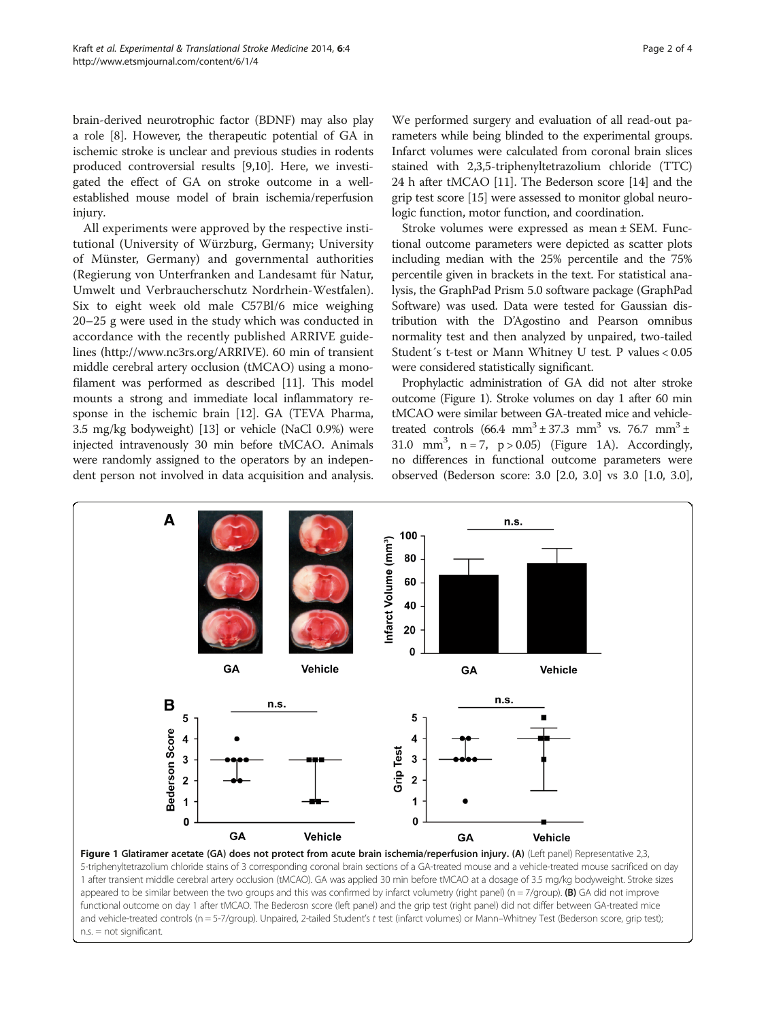<span id="page-1-0"></span>brain-derived neurotrophic factor (BDNF) may also play a role [[8](#page-2-0)]. However, the therapeutic potential of GA in ischemic stroke is unclear and previous studies in rodents produced controversial results [\[9](#page-2-0)[,10\]](#page-3-0). Here, we investigated the effect of GA on stroke outcome in a wellestablished mouse model of brain ischemia/reperfusion injury.

All experiments were approved by the respective institutional (University of Würzburg, Germany; University of Münster, Germany) and governmental authorities (Regierung von Unterfranken and Landesamt für Natur, Umwelt und Verbraucherschutz Nordrhein-Westfalen). Six to eight week old male C57Bl/6 mice weighing 20–25 g were used in the study which was conducted in accordance with the recently published ARRIVE guidelines [\(http://www.nc3rs.org/ARRIVE\)](http://www.nc3rs.org/ARRIVE). 60 min of transient middle cerebral artery occlusion (tMCAO) using a monofilament was performed as described [\[11\]](#page-3-0). This model mounts a strong and immediate local inflammatory response in the ischemic brain [\[12](#page-3-0)]. GA (TEVA Pharma, 3.5 mg/kg bodyweight) [[13](#page-3-0)] or vehicle (NaCl 0.9%) were injected intravenously 30 min before tMCAO. Animals were randomly assigned to the operators by an independent person not involved in data acquisition and analysis.

We performed surgery and evaluation of all read-out parameters while being blinded to the experimental groups. Infarct volumes were calculated from coronal brain slices stained with 2,3,5-triphenyltetrazolium chloride (TTC) 24 h after tMCAO [\[11\]](#page-3-0). The Bederson score [[14\]](#page-3-0) and the grip test score [[15](#page-3-0)] were assessed to monitor global neurologic function, motor function, and coordination.

Stroke volumes were expressed as mean ± SEM. Functional outcome parameters were depicted as scatter plots including median with the 25% percentile and the 75% percentile given in brackets in the text. For statistical analysis, the GraphPad Prism 5.0 software package (GraphPad Software) was used. Data were tested for Gaussian distribution with the D'Agostino and Pearson omnibus normality test and then analyzed by unpaired, two-tailed Student´s t-test or Mann Whitney U test. P values < 0.05 were considered statistically significant.

Prophylactic administration of GA did not alter stroke outcome (Figure 1). Stroke volumes on day 1 after 60 min tMCAO were similar between GA-treated mice and vehicletreated controls  $(66.4 \text{ mm}^3 \pm 37.3 \text{ mm}^3 \text{ vs. } 76.7 \text{ mm}^3 \pm 1)$ 31.0 mm<sup>3</sup>,  $n = 7$ ,  $p > 0.05$ ) (Figure 1A). Accordingly, no differences in functional outcome parameters were observed (Bederson score: 3.0 [2.0, 3.0] vs 3.0 [1.0, 3.0],



1 after transient middle cerebral artery occlusion (tMCAO). GA was applied 30 min before tMCAO at a dosage of 3.5 mg/kg bodyweight. Stroke sizes appeared to be similar between the two groups and this was confirmed by infarct volumetry (right panel) (n = 7/group). (B) GA did not improve functional outcome on day 1 after tMCAO. The Bederosn score (left panel) and the grip test (right panel) did not differ between GA-treated mice and vehicle-treated controls (n = 5-7/group). Unpaired, 2-tailed Student's t test (infarct volumes) or Mann–Whitney Test (Bederson score, grip test); n.s. = not significant.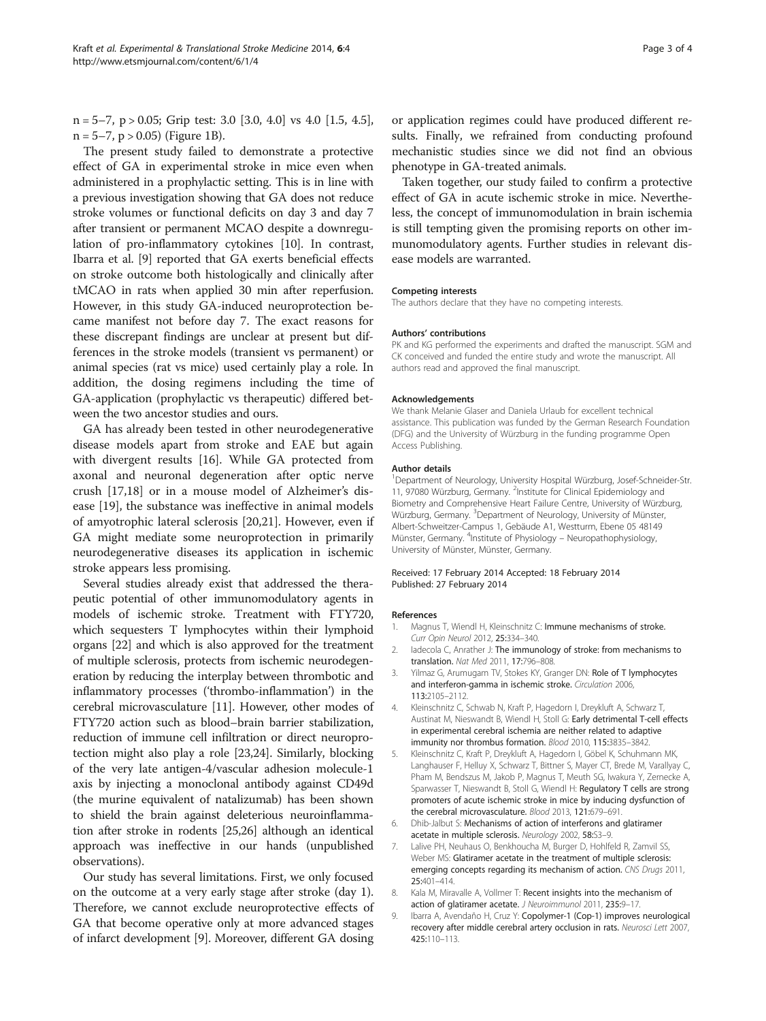<span id="page-2-0"></span> $n = 5-7$ ,  $p > 0.05$ ; Grip test: 3.0 [3.0, 4.0] vs 4.0 [1.5, 4.5],  $n = 5-7$ ,  $p > 0.05$ ) (Figure [1](#page-1-0)B).

The present study failed to demonstrate a protective effect of GA in experimental stroke in mice even when administered in a prophylactic setting. This is in line with a previous investigation showing that GA does not reduce stroke volumes or functional deficits on day 3 and day 7 after transient or permanent MCAO despite a downregulation of pro-inflammatory cytokines [\[10\]](#page-3-0). In contrast, Ibarra et al. [9] reported that GA exerts beneficial effects on stroke outcome both histologically and clinically after tMCAO in rats when applied 30 min after reperfusion. However, in this study GA-induced neuroprotection became manifest not before day 7. The exact reasons for these discrepant findings are unclear at present but differences in the stroke models (transient vs permanent) or animal species (rat vs mice) used certainly play a role. In addition, the dosing regimens including the time of GA-application (prophylactic vs therapeutic) differed between the two ancestor studies and ours.

GA has already been tested in other neurodegenerative disease models apart from stroke and EAE but again with divergent results [[16](#page-3-0)]. While GA protected from axonal and neuronal degeneration after optic nerve crush [[17](#page-3-0),[18](#page-3-0)] or in a mouse model of Alzheimer's disease [[19\]](#page-3-0), the substance was ineffective in animal models of amyotrophic lateral sclerosis [[20,21](#page-3-0)]. However, even if GA might mediate some neuroprotection in primarily neurodegenerative diseases its application in ischemic stroke appears less promising.

Several studies already exist that addressed the therapeutic potential of other immunomodulatory agents in models of ischemic stroke. Treatment with FTY720, which sequesters T lymphocytes within their lymphoid organs [[22](#page-3-0)] and which is also approved for the treatment of multiple sclerosis, protects from ischemic neurodegeneration by reducing the interplay between thrombotic and inflammatory processes ('thrombo-inflammation') in the cerebral microvasculature [[11](#page-3-0)]. However, other modes of FTY720 action such as blood–brain barrier stabilization, reduction of immune cell infiltration or direct neuroprotection might also play a role [\[23,24\]](#page-3-0). Similarly, blocking of the very late antigen-4/vascular adhesion molecule-1 axis by injecting a monoclonal antibody against CD49d (the murine equivalent of natalizumab) has been shown to shield the brain against deleterious neuroinflammation after stroke in rodents [[25,26](#page-3-0)] although an identical approach was ineffective in our hands (unpublished observations).

Our study has several limitations. First, we only focused on the outcome at a very early stage after stroke (day 1). Therefore, we cannot exclude neuroprotective effects of GA that become operative only at more advanced stages of infarct development [9]. Moreover, different GA dosing or application regimes could have produced different results. Finally, we refrained from conducting profound mechanistic studies since we did not find an obvious phenotype in GA-treated animals.

Taken together, our study failed to confirm a protective effect of GA in acute ischemic stroke in mice. Nevertheless, the concept of immunomodulation in brain ischemia is still tempting given the promising reports on other immunomodulatory agents. Further studies in relevant disease models are warranted.

#### Competing interests

The authors declare that they have no competing interests.

#### Authors' contributions

PK and KG performed the experiments and drafted the manuscript. SGM and CK conceived and funded the entire study and wrote the manuscript. All authors read and approved the final manuscript.

#### Acknowledgements

We thank Melanie Glaser and Daniela Urlaub for excellent technical assistance. This publication was funded by the German Research Foundation (DFG) and the University of Würzburg in the funding programme Open Access Publishing.

#### Author details

<sup>1</sup>Department of Neurology, University Hospital Würzburg, Josef-Schneider-Str. 11, 97080 Würzburg, Germany. <sup>2</sup>Institute for Clinical Epidemiology and Biometry and Comprehensive Heart Failure Centre, University of Würzburg, Würzburg, Germany. <sup>3</sup>Department of Neurology, University of Münster Albert-Schweitzer-Campus 1, Gebäude A1, Westturm, Ebene 05 48149 Münster, Germany. <sup>4</sup>Institute of Physiology - Neuropathophysiology, University of Münster, Münster, Germany.

#### Received: 17 February 2014 Accepted: 18 February 2014 Published: 27 February 2014

#### References

- 1. Magnus T, Wiendl H, Kleinschnitz C: Immune mechanisms of stroke. Curr Opin Neurol 2012, 25:334–340.
- 2. Iadecola C, Anrather J: The immunology of stroke: from mechanisms to translation. Nat Med 2011, 17:796–808.
- 3. Yilmaz G, Arumugam TV, Stokes KY, Granger DN: Role of T lymphocytes and interferon-gamma in ischemic stroke. Circulation 2006, 113:2105–2112.
- 4. Kleinschnitz C, Schwab N, Kraft P, Hagedorn I, Dreykluft A, Schwarz T, Austinat M, Nieswandt B, Wiendl H, Stoll G: Early detrimental T-cell effects in experimental cerebral ischemia are neither related to adaptive immunity nor thrombus formation. Blood 2010, 115:3835–3842.
- 5. Kleinschnitz C, Kraft P, Dreykluft A, Hagedorn I, Göbel K, Schuhmann MK, Langhauser F, Helluy X, Schwarz T, Bittner S, Mayer CT, Brede M, Varallyay C, Pham M, Bendszus M, Jakob P, Magnus T, Meuth SG, Iwakura Y, Zernecke A, Sparwasser T, Nieswandt B, Stoll G, Wiendl H: Regulatory T cells are strong promoters of acute ischemic stroke in mice by inducing dysfunction of the cerebral microvasculature. Blood 2013, 121:679–691.
- 6. Dhib-Jalbut S: Mechanisms of action of interferons and glatiramer acetate in multiple sclerosis. Neurology 2002, 58:S3–9.
- 7. Lalive PH, Neuhaus O, Benkhoucha M, Burger D, Hohlfeld R, Zamvil SS, Weber MS: Glatiramer acetate in the treatment of multiple sclerosis: emerging concepts regarding its mechanism of action. CNS Drugs 2011, 25:401–414.
- 8. Kala M, Miravalle A, Vollmer T: Recent insights into the mechanism of action of glatiramer acetate. J Neuroimmunol 2011, 235:9-17.
- 9. Ibarra A, Avendaño H, Cruz Y: Copolymer-1 (Cop-1) improves neurological recovery after middle cerebral artery occlusion in rats. Neurosci Lett 2007, 425:110–113.